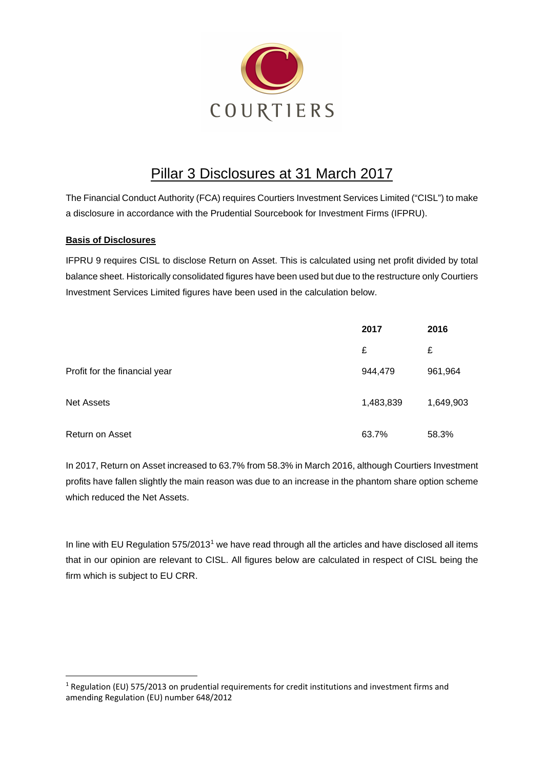

# Pillar 3 Disclosures at 31 March 2017

The Financial Conduct Authority (FCA) requires Courtiers Investment Services Limited ("CISL") to make a disclosure in accordance with the Prudential Sourcebook for Investment Firms (IFPRU).

### **Basis of Disclosures**

IFPRU 9 requires CISL to disclose Return on Asset. This is calculated using net profit divided by total balance sheet. Historically consolidated figures have been used but due to the restructure only Courtiers Investment Services Limited figures have been used in the calculation below.

|                               | 2017      | 2016      |
|-------------------------------|-----------|-----------|
|                               | £         | £         |
| Profit for the financial year | 944,479   | 961,964   |
| <b>Net Assets</b>             | 1,483,839 | 1,649,903 |
| Return on Asset               | 63.7%     | 58.3%     |

In 2017, Return on Asset increased to 63.7% from 58.3% in March 2016, although Courtiers Investment profits have fallen slightly the main reason was due to an increase in the phantom share option scheme which reduced the Net Assets.

In line with EU Regulation 575/20[1](#page-0-0)3<sup>1</sup> we have read through all the articles and have disclosed all items that in our opinion are relevant to CISL. All figures below are calculated in respect of CISL being the firm which is subject to EU CRR.

<span id="page-0-0"></span> $1$  Regulation (EU) 575/2013 on prudential requirements for credit institutions and investment firms and amending Regulation (EU) number 648/2012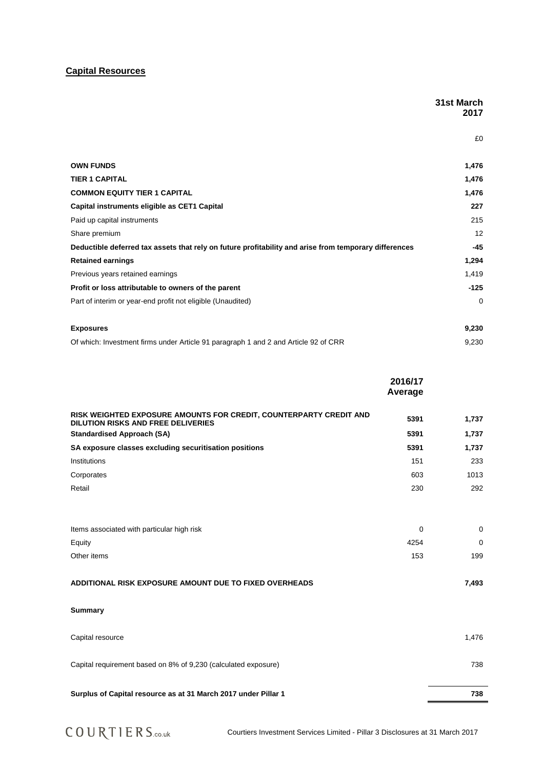## **Capital Resources**

|                                                                                                       | 31st March<br>2017 |
|-------------------------------------------------------------------------------------------------------|--------------------|
|                                                                                                       | £0                 |
| <b>OWN FUNDS</b>                                                                                      | 1,476              |
| <b>TIER 1 CAPITAL</b>                                                                                 | 1,476              |
| <b>COMMON EQUITY TIER 1 CAPITAL</b>                                                                   | 1,476              |
| Capital instruments eligible as CET1 Capital                                                          | 227                |
| Paid up capital instruments                                                                           | 215                |
| Share premium                                                                                         | 12                 |
| Deductible deferred tax assets that rely on future profitability and arise from temporary differences | $-45$              |
| <b>Retained earnings</b>                                                                              | 1,294              |
| Previous years retained earnings                                                                      | 1,419              |
| Profit or loss attributable to owners of the parent                                                   | $-125$             |
| Part of interim or year-end profit not eligible (Unaudited)                                           | $\Omega$           |
| <b>Exposures</b>                                                                                      | 9,230              |
| Of which: Investment firms under Article 91 paragraph 1 and 2 and Article 92 of CRR                   | 9,230              |

|                                                                                                                 | 2016/17<br>Average |             |
|-----------------------------------------------------------------------------------------------------------------|--------------------|-------------|
| RISK WEIGHTED EXPOSURE AMOUNTS FOR CREDIT, COUNTERPARTY CREDIT AND<br><b>DILUTION RISKS AND FREE DELIVERIES</b> | 5391               | 1,737       |
| <b>Standardised Approach (SA)</b>                                                                               | 5391               | 1,737       |
| SA exposure classes excluding securitisation positions                                                          | 5391               | 1,737       |
| Institutions                                                                                                    | 151                | 233         |
| Corporates                                                                                                      | 603                | 1013        |
| Retail                                                                                                          | 230                | 292         |
| Items associated with particular high risk                                                                      | 0                  | $\mathbf 0$ |
| Equity                                                                                                          | 4254               | 0           |
| Other items                                                                                                     | 153                | 199         |
| ADDITIONAL RISK EXPOSURE AMOUNT DUE TO FIXED OVERHEADS                                                          |                    | 7,493       |
| <b>Summary</b>                                                                                                  |                    |             |
| Capital resource                                                                                                |                    | 1,476       |
| Capital requirement based on 8% of 9,230 (calculated exposure)                                                  |                    | 738         |
| Surplus of Capital resource as at 31 March 2017 under Pillar 1                                                  |                    | 738         |

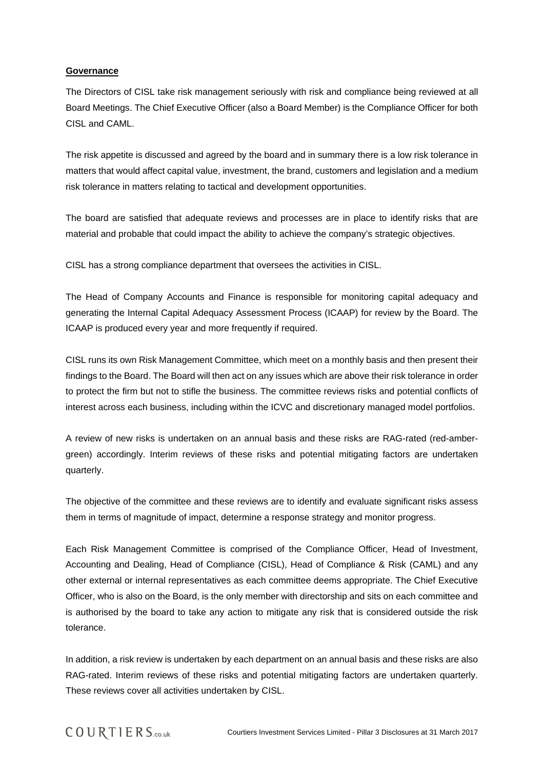#### **Governance**

The Directors of CISL take risk management seriously with risk and compliance being reviewed at all Board Meetings. The Chief Executive Officer (also a Board Member) is the Compliance Officer for both CISL and CAML.

The risk appetite is discussed and agreed by the board and in summary there is a low risk tolerance in matters that would affect capital value, investment, the brand, customers and legislation and a medium risk tolerance in matters relating to tactical and development opportunities.

The board are satisfied that adequate reviews and processes are in place to identify risks that are material and probable that could impact the ability to achieve the company's strategic objectives.

CISL has a strong compliance department that oversees the activities in CISL.

The Head of Company Accounts and Finance is responsible for monitoring capital adequacy and generating the Internal Capital Adequacy Assessment Process (ICAAP) for review by the Board. The ICAAP is produced every year and more frequently if required.

CISL runs its own Risk Management Committee, which meet on a monthly basis and then present their findings to the Board. The Board will then act on any issues which are above their risk tolerance in order to protect the firm but not to stifle the business. The committee reviews risks and potential conflicts of interest across each business, including within the ICVC and discretionary managed model portfolios.

A review of new risks is undertaken on an annual basis and these risks are RAG-rated (red-ambergreen) accordingly. Interim reviews of these risks and potential mitigating factors are undertaken quarterly.

The objective of the committee and these reviews are to identify and evaluate significant risks assess them in terms of magnitude of impact, determine a response strategy and monitor progress.

Each Risk Management Committee is comprised of the Compliance Officer, Head of Investment, Accounting and Dealing, Head of Compliance (CISL), Head of Compliance & Risk (CAML) and any other external or internal representatives as each committee deems appropriate. The Chief Executive Officer, who is also on the Board, is the only member with directorship and sits on each committee and is authorised by the board to take any action to mitigate any risk that is considered outside the risk tolerance.

In addition, a risk review is undertaken by each department on an annual basis and these risks are also RAG-rated. Interim reviews of these risks and potential mitigating factors are undertaken quarterly. These reviews cover all activities undertaken by CISL.

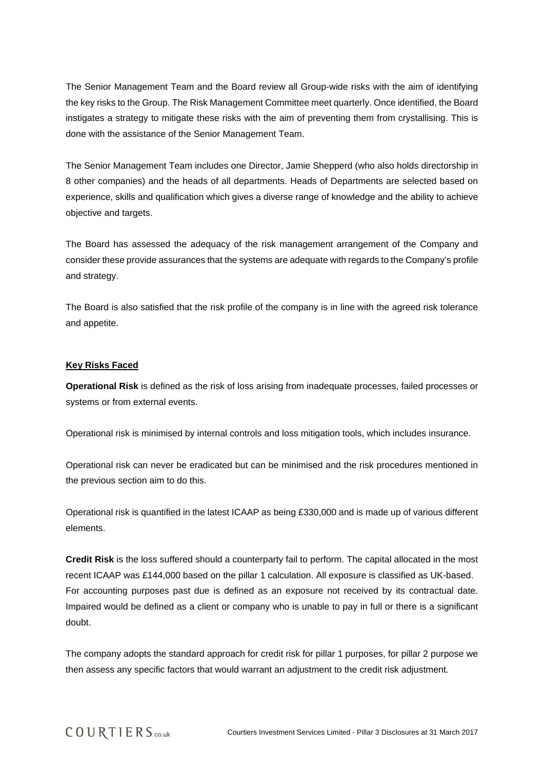The Senior Management Team and the Board review all Group-wide risks with the aim of identifying the key risks to the Group. The Risk Management Committee meet quarterly. Once identified, the Board instigates a strategy to mitigate these risks with the aim of preventing them from crystallising. This is done with the assistance of the Senior Management Team.

The Senior Management Team includes one Director, Jamie Shepperd (who also holds directorship in 8 other companies) and the heads of all departments. Heads of Departments are selected based on experience, skills and qualification which gives a diverse range of knowledge and the ability to achieve objective and targets.

The Board has assessed the adequacy of the risk management arrangement of the Company and consider these provide assurances that the systems are adequate with regards to the Company's profile and strategy.

The Board is also satisfied that the risk profile of the company is in line with the agreed risk tolerance and appetite.

#### **Key Risks Faced**

**Operational Risk** is defined as the risk of loss arising from inadequate processes, failed processes or systems or from external events.

Operational risk is minimised by internal controls and loss mitigation tools, which includes insurance.

Operational risk can never be eradicated but can be minimised and the risk procedures mentioned in the previous section aim to do this.

Operational risk is quantified in the latest ICAAP as being £330,000 and is made up of various different elements.

**Credit Risk** is the loss suffered should a counterparty fail to perform. The capital allocated in the most recent ICAAP was £144,000 based on the pillar 1 calculation. All exposure is classified as UK-based. For accounting purposes past due is defined as an exposure not received by its contractual date. Impaired would be defined as a client or company who is unable to pay in full or there is a significant doubt.

The company adopts the standard approach for credit risk for pillar 1 purposes, for pillar 2 purpose we then assess any specific factors that would warrant an adjustment to the credit risk adjustment.

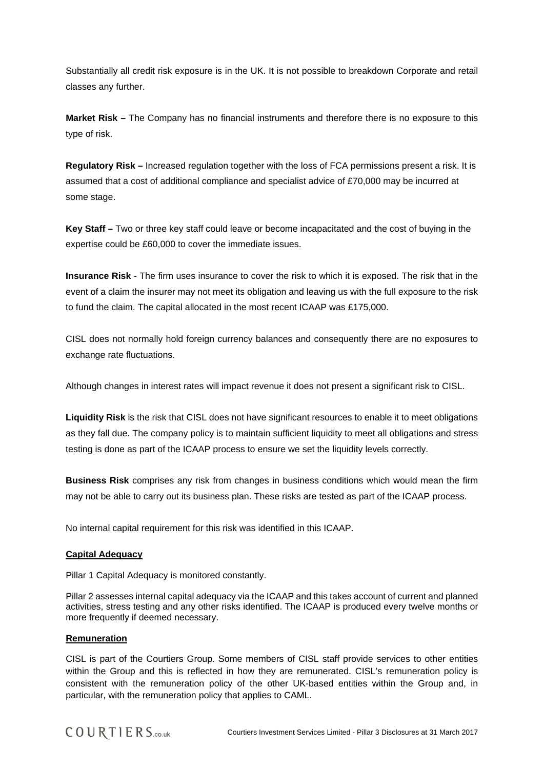Substantially all credit risk exposure is in the UK. It is not possible to breakdown Corporate and retail classes any further.

**Market Risk –** The Company has no financial instruments and therefore there is no exposure to this type of risk.

**Regulatory Risk –** Increased regulation together with the loss of FCA permissions present a risk. It is assumed that a cost of additional compliance and specialist advice of £70,000 may be incurred at some stage.

**Key Staff –** Two or three key staff could leave or become incapacitated and the cost of buying in the expertise could be £60,000 to cover the immediate issues.

**Insurance Risk** - The firm uses insurance to cover the risk to which it is exposed. The risk that in the event of a claim the insurer may not meet its obligation and leaving us with the full exposure to the risk to fund the claim. The capital allocated in the most recent ICAAP was £175,000.

CISL does not normally hold foreign currency balances and consequently there are no exposures to exchange rate fluctuations.

Although changes in interest rates will impact revenue it does not present a significant risk to CISL.

**Liquidity Risk** is the risk that CISL does not have significant resources to enable it to meet obligations as they fall due. The company policy is to maintain sufficient liquidity to meet all obligations and stress testing is done as part of the ICAAP process to ensure we set the liquidity levels correctly.

**Business Risk** comprises any risk from changes in business conditions which would mean the firm may not be able to carry out its business plan. These risks are tested as part of the ICAAP process.

No internal capital requirement for this risk was identified in this ICAAP.

#### **Capital Adequacy**

Pillar 1 Capital Adequacy is monitored constantly.

Pillar 2 assesses internal capital adequacy via the ICAAP and this takes account of current and planned activities, stress testing and any other risks identified. The ICAAP is produced every twelve months or more frequently if deemed necessary.

#### **Remuneration**

CISL is part of the Courtiers Group. Some members of CISL staff provide services to other entities within the Group and this is reflected in how they are remunerated. CISL's remuneration policy is consistent with the remuneration policy of the other UK-based entities within the Group and, in particular, with the remuneration policy that applies to CAML.